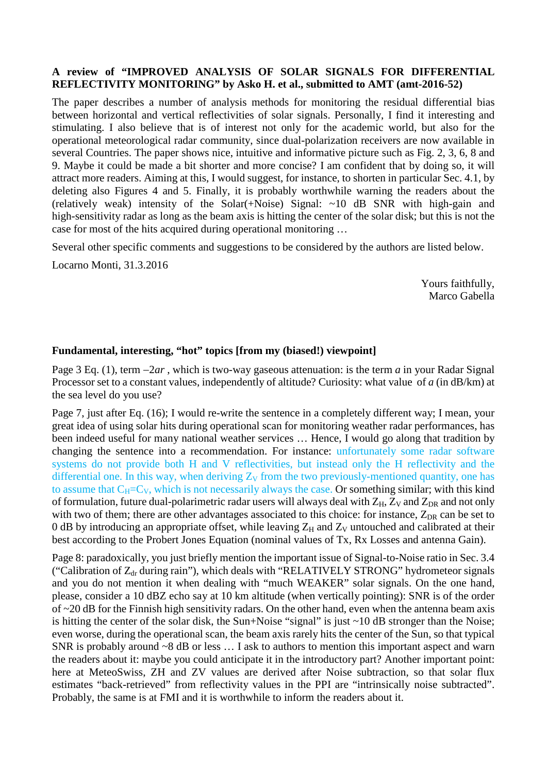## **A review of "IMPROVED ANALYSIS OF SOLAR SIGNALS FOR DIFFERENTIAL REFLECTIVITY MONITORING" by Asko H. et al., submitted to AMT (amt-2016-52)**

The paper describes a number of analysis methods for monitoring the residual differential bias between horizontal and vertical reflectivities of solar signals. Personally, I find it interesting and stimulating. I also believe that is of interest not only for the academic world, but also for the operational meteorological radar community, since dual-polarization receivers are now available in several Countries. The paper shows nice, intuitive and informative picture such as Fig. 2, 3, 6, 8 and 9. Maybe it could be made a bit shorter and more concise? I am confident that by doing so, it will attract more readers. Aiming at this, I would suggest, for instance, to shorten in particular Sec. 4.1, by deleting also Figures 4 and 5. Finally, it is probably worthwhile warning the readers about the (relatively weak) intensity of the Solar(+Noise) Signal: ~10 dB SNR with high-gain and high-sensitivity radar as long as the beam axis is hitting the center of the solar disk; but this is not the case for most of the hits acquired during operational monitoring …

Several other specific comments and suggestions to be considered by the authors are listed below.

Locarno Monti, 31.3.2016

Yours faithfully, Marco Gabella

## **Fundamental, interesting, "hot" topics [from my (biased!) viewpoint]**

Page 3 Eq. (1), term −2*ar* , which is two-way gaseous attenuation: is the term *a* in your Radar Signal Processor set to a constant values, independently of altitude? Curiosity: what value of *a* (in dB/km) at the sea level do you use?

Page 7, just after Eq. (16); I would re-write the sentence in a completely different way; I mean, your great idea of using solar hits during operational scan for monitoring weather radar performances, has been indeed useful for many national weather services … Hence, I would go along that tradition by changing the sentence into a recommendation. For instance: unfortunately some radar software systems do not provide both H and V reflectivities, but instead only the H reflectivity and the differential one. In this way, when deriving  $Z_V$  from the two previously-mentioned quantity, one has to assume that  $C_H=C_V$ , which is not necessarily always the case. Or something similar; with this kind of formulation, future dual-polarimetric radar users will always deal with  $Z_H$ ,  $Z_V$  and  $Z_{DR}$  and not only with two of them; there are other advantages associated to this choice: for instance,  $Z_{DR}$  can be set to 0 dB by introducing an appropriate offset, while leaving  $Z_H$  and  $Z_V$  untouched and calibrated at their best according to the Probert Jones Equation (nominal values of Tx, Rx Losses and antenna Gain).

Page 8: paradoxically, you just briefly mention the important issue of Signal-to-Noise ratio in Sec. 3.4 ("Calibration of  $Z_{dr}$  during rain"), which deals with "RELATIVELY STRONG" hydrometeor signals and you do not mention it when dealing with "much WEAKER" solar signals. On the one hand, please, consider a 10 dBZ echo say at 10 km altitude (when vertically pointing): SNR is of the order of ~20 dB for the Finnish high sensitivity radars. On the other hand, even when the antenna beam axis is hitting the center of the solar disk, the Sun+Noise "signal" is just ~10 dB stronger than the Noise; even worse, during the operational scan, the beam axis rarely hits the center of the Sun, so that typical SNR is probably around ~8 dB or less ... I ask to authors to mention this important aspect and warn the readers about it: maybe you could anticipate it in the introductory part? Another important point: here at MeteoSwiss, ZH and ZV values are derived after Noise subtraction, so that solar flux estimates "back-retrieved" from reflectivity values in the PPI are "intrinsically noise subtracted". Probably, the same is at FMI and it is worthwhile to inform the readers about it.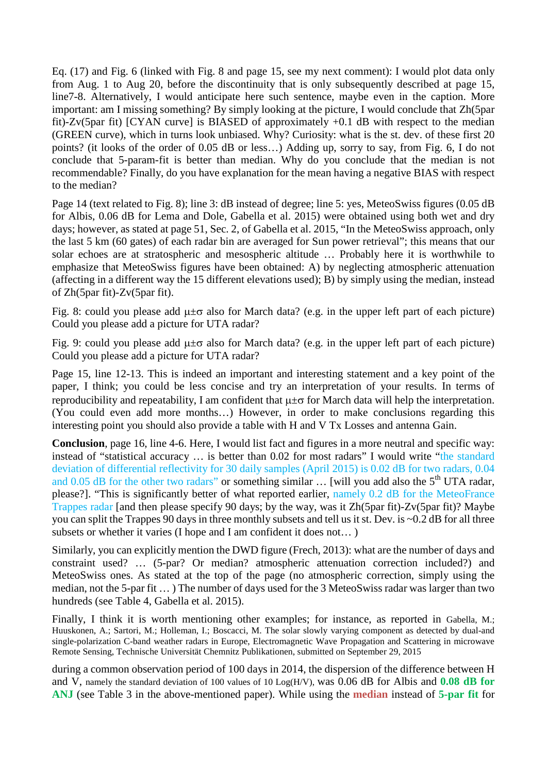Eq. (17) and Fig. 6 (linked with Fig. 8 and page 15, see my next comment): I would plot data only from Aug. 1 to Aug 20, before the discontinuity that is only subsequently described at page 15, line7-8. Alternatively, I would anticipate here such sentence, maybe even in the caption. More important: am I missing something? By simply looking at the picture, I would conclude that Zh(5par fit)-Zv(5par fit) [CYAN curve] is BIASED of approximately +0.1 dB with respect to the median (GREEN curve), which in turns look unbiased. Why? Curiosity: what is the st. dev. of these first 20 points? (it looks of the order of 0.05 dB or less…) Adding up, sorry to say, from Fig. 6, I do not conclude that 5-param-fit is better than median. Why do you conclude that the median is not recommendable? Finally, do you have explanation for the mean having a negative BIAS with respect to the median?

Page 14 (text related to Fig. 8); line 3: dB instead of degree; line 5: yes, MeteoSwiss figures (0.05 dB for Albis, 0.06 dB for Lema and Dole, Gabella et al. 2015) were obtained using both wet and dry days; however, as stated at page 51, Sec. 2, of Gabella et al. 2015, "In the MeteoSwiss approach, only the last 5 km (60 gates) of each radar bin are averaged for Sun power retrieval"; this means that our solar echoes are at stratospheric and mesospheric altitude … Probably here it is worthwhile to emphasize that MeteoSwiss figures have been obtained: A) by neglecting atmospheric attenuation (affecting in a different way the 15 different elevations used); B) by simply using the median, instead of Zh(5par fit)-Zv(5par fit).

Fig. 8: could you please add  $\mu \pm \sigma$  also for March data? (e.g. in the upper left part of each picture) Could you please add a picture for UTA radar?

Fig. 9: could you please add  $\mu \pm \sigma$  also for March data? (e.g. in the upper left part of each picture) Could you please add a picture for UTA radar?

Page 15, line 12-13. This is indeed an important and interesting statement and a key point of the paper, I think; you could be less concise and try an interpretation of your results. In terms of reproducibility and repeatability, I am confident that  $\mu \pm \sigma$  for March data will help the interpretation. (You could even add more months…) However, in order to make conclusions regarding this interesting point you should also provide a table with H and V Tx Losses and antenna Gain.

**Conclusion**, page 16, line 4-6. Here, I would list fact and figures in a more neutral and specific way: instead of "statistical accuracy … is better than 0.02 for most radars" I would write "the standard deviation of differential reflectivity for 30 daily samples (April 2015) is 0.02 dB for two radars, 0.04 and 0.05 dB for the other two radars" or something similar  $\ldots$  [will you add also the 5<sup>th</sup> UTA radar, please?]. "This is significantly better of what reported earlier, namely 0.2 dB for the MeteoFrance Trappes radar [and then please specify 90 days; by the way, was it Zh(5par fit)-Zv(5par fit)? Maybe you can split the Trappes 90 days in three monthly subsets and tell us it st. Dev. is ~0.2 dB for all three subsets or whether it varies (I hope and I am confident it does not… )

Similarly, you can explicitly mention the DWD figure (Frech, 2013): what are the number of days and constraint used? … (5-par? Or median? atmospheric attenuation correction included?) and MeteoSwiss ones. As stated at the top of the page (no atmospheric correction, simply using the median, not the 5-par fit … ) The number of days used for the 3 MeteoSwiss radar was larger than two hundreds (see Table 4, Gabella et al. 2015).

Finally, I think it is worth mentioning other examples; for instance, as reported in Gabella, M.; Huuskonen, A.; Sartori, M.; Holleman, I.; Boscacci, M. The solar slowly varying component as detected by dual-and single-polarization C-band weather radars in Europe, Electromagnetic Wave Propagation and Scattering in microwave Remote Sensing, Technische Universität Chemnitz Publikationen, submitted on September 29, 2015

during a common observation period of 100 days in 2014, the dispersion of the difference between H and V, namely the standard deviation of 100 values of 10 Log(H/V), was 0.06 dB for Albis and **0.08 dB for ANJ** (see Table 3 in the above-mentioned paper). While using the **median** instead of **5-par fit** for